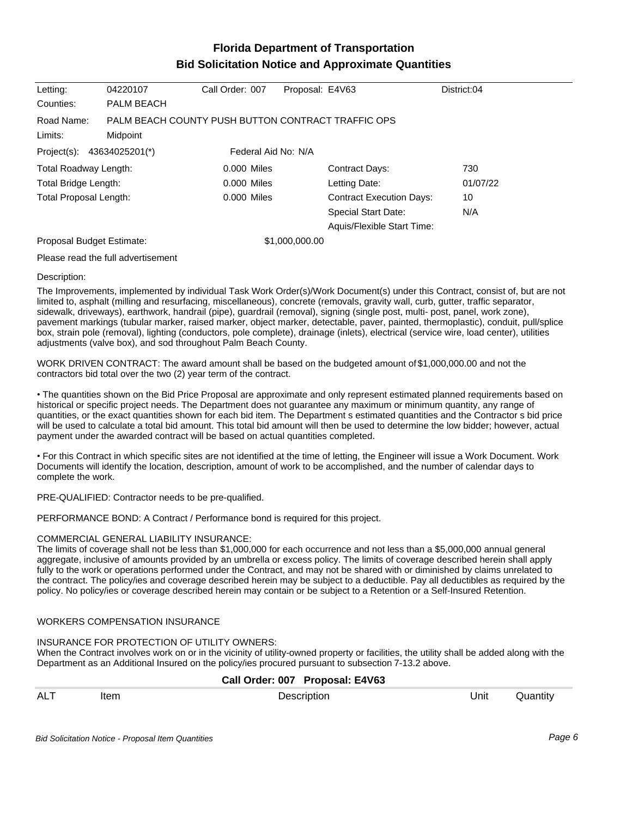# **Florida Department of Transportation Bid Solicitation Notice and Approximate Quantities**

| Letting:                                          | 04220107                                                       | Call Order: 007 | Proposal: E4V63 |                                 | District:04 |
|---------------------------------------------------|----------------------------------------------------------------|-----------------|-----------------|---------------------------------|-------------|
| Counties:                                         | PALM BEACH                                                     |                 |                 |                                 |             |
| Road Name:<br>Limits:                             | PALM BEACH COUNTY PUSH BUTTON CONTRACT TRAFFIC OPS<br>Midpoint |                 |                 |                                 |             |
| Project(s): 43634025201(*)<br>Federal Aid No: N/A |                                                                |                 |                 |                                 |             |
|                                                   |                                                                |                 |                 |                                 |             |
| Total Roadway Length:                             |                                                                | $0.000$ Miles   |                 | <b>Contract Days:</b>           | 730         |
| Total Bridge Length:                              |                                                                | $0.000$ Miles   |                 | Letting Date:                   | 01/07/22    |
| Total Proposal Length:                            |                                                                | 0.000 Miles     |                 | <b>Contract Execution Days:</b> | 10          |
|                                                   |                                                                |                 |                 | <b>Special Start Date:</b>      | N/A         |
|                                                   |                                                                |                 |                 | Aquis/Flexible Start Time:      |             |
| Proposal Budget Estimate:                         |                                                                |                 | \$1,000,000.00  |                                 |             |
|                                                   |                                                                |                 |                 |                                 |             |

Please read the full advertisement

#### Description:

The Improvements, implemented by individual Task Work Order(s)/Work Document(s) under this Contract, consist of, but are not limited to, asphalt (milling and resurfacing, miscellaneous), concrete (removals, gravity wall, curb, gutter, traffic separator, sidewalk, driveways), earthwork, handrail (pipe), guardrail (removal), signing (single post, multi- post, panel, work zone), pavement markings (tubular marker, raised marker, object marker, detectable, paver, painted, thermoplastic), conduit, pull/splice box, strain pole (removal), lighting (conductors, pole complete), drainage (inlets), electrical (service wire, load center), utilities adjustments (valve box), and sod throughout Palm Beach County.

WORK DRIVEN CONTRACT: The award amount shall be based on the budgeted amount of \$1,000,000.00 and not the contractors bid total over the two (2) year term of the contract.

The quantities shown on the Bid Price Proposal are approximate and only represent estimated planned requirements based on historical or specific project needs. The Department does not guarantee any maximum or minimum quantity, any range of quantities, or the exact quantities shown for each bid item. The Department s estimated quantities and the Contractor s bid price will be used to calculate a total bid amount. This total bid amount will then be used to determine the low bidder; however, actual payment under the awarded contract will be based on actual quantities completed.

For this Contract in which specific sites are not identified at the time of letting, the Engineer will issue a Work Document. Work Documents will identify the location, description, amount of work to be accomplished, and the number of calendar days to complete the work.

PRE-QUALIFIED: Contractor needs to be pre-qualified.

PERFORMANCE BOND: A Contract / Performance bond is required for this project.

#### COMMERCIAL GENERAL LIABILITY INSURANCE:

The limits of coverage shall not be less than \$1,000,000 for each occurrence and not less than a \$5,000,000 annual general aggregate, inclusive of amounts provided by an umbrella or excess policy. The limits of coverage described herein shall apply fully to the work or operations performed under the Contract, and may not be shared with or diminished by claims unrelated to the contract. The policy/ies and coverage described herein may be subject to a deductible. Pay all deductibles as required by the policy. No policy/ies or coverage described herein may contain or be subject to a Retention or a Self-Insured Retention.

#### WORKERS COMPENSATION INSURANCE

#### INSURANCE FOR PROTECTION OF UTILITY OWNERS:

When the Contract involves work on or in the vicinity of utility-owned property or facilities, the utility shall be added along with the Department as an Additional Insured on the policy/ies procured pursuant to subsection 7-13.2 above.

### **Call Order: 007 Proposal: E4V63**

| <b>ALT</b> | Item | Jescription | Unit | Juantıt∖ |
|------------|------|-------------|------|----------|
|            |      |             |      |          |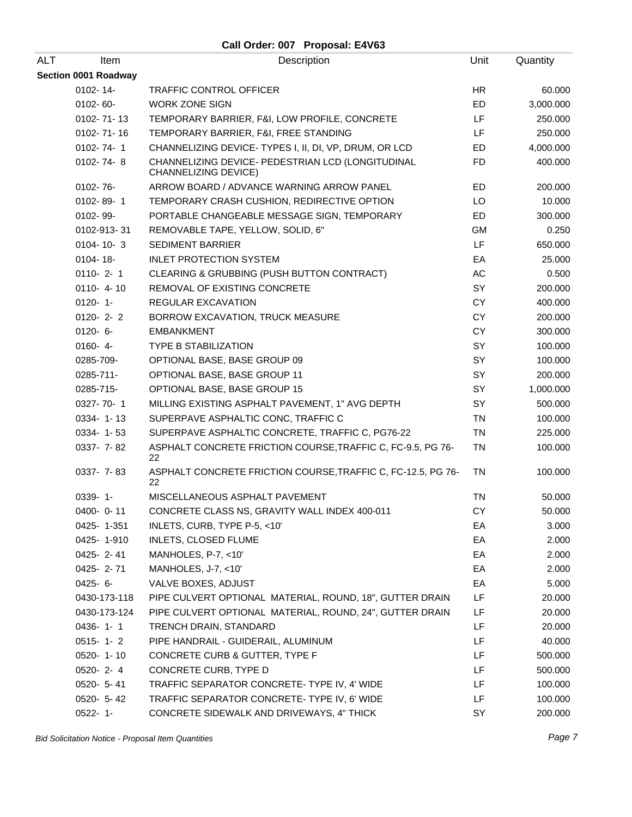| ALT<br><b>Item</b>   | Description                                                                      | Unit      | Quantity  |
|----------------------|----------------------------------------------------------------------------------|-----------|-----------|
| Section 0001 Roadway |                                                                                  |           |           |
| 0102-14-             | <b>TRAFFIC CONTROL OFFICER</b>                                                   | <b>HR</b> | 60.000    |
| 0102-60-             | <b>WORK ZONE SIGN</b>                                                            | ED        | 3,000.000 |
| 0102-71-13           | TEMPORARY BARRIER, F&I, LOW PROFILE, CONCRETE                                    | LF        | 250.000   |
| 0102-71-16           | TEMPORARY BARRIER, F&I, FREE STANDING                                            | LF        | 250.000   |
| $0102 - 74 - 1$      | CHANNELIZING DEVICE- TYPES I, II, DI, VP, DRUM, OR LCD                           | <b>ED</b> | 4,000.000 |
| 0102-74-8            | CHANNELIZING DEVICE- PEDESTRIAN LCD (LONGITUDINAL<br><b>CHANNELIZING DEVICE)</b> | <b>FD</b> | 400.000   |
| 0102-76-             | ARROW BOARD / ADVANCE WARNING ARROW PANEL                                        | ED        | 200.000   |
| 0102-89-1            | TEMPORARY CRASH CUSHION, REDIRECTIVE OPTION                                      | LO        | 10.000    |
| 0102-99-             | PORTABLE CHANGEABLE MESSAGE SIGN, TEMPORARY                                      | ED        | 300.000   |
| 0102-913-31          | REMOVABLE TAPE, YELLOW, SOLID, 6"                                                | GM        | 0.250     |
| $0104 - 10 - 3$      | <b>SEDIMENT BARRIER</b>                                                          | LF        | 650.000   |
| 0104-18-             | <b>INLET PROTECTION SYSTEM</b>                                                   | EA        | 25.000    |
| $0110 - 2 - 1$       | CLEARING & GRUBBING (PUSH BUTTON CONTRACT)                                       | AC        | 0.500     |
| $0110 - 4 - 10$      | REMOVAL OF EXISTING CONCRETE                                                     | SY        | 200.000   |
| $0120 - 1 -$         | REGULAR EXCAVATION                                                               | CY        | 400.000   |
| $0120 - 2 - 2$       | BORROW EXCAVATION, TRUCK MEASURE                                                 | <b>CY</b> | 200.000   |
| $0120 - 6 -$         | <b>EMBANKMENT</b>                                                                | <b>CY</b> | 300.000   |
| $0160 - 4 -$         | <b>TYPE B STABILIZATION</b>                                                      | SY        | 100.000   |
| 0285-709-            | OPTIONAL BASE, BASE GROUP 09                                                     | SY        | 100.000   |
| 0285-711-            | OPTIONAL BASE, BASE GROUP 11                                                     | SY        | 200.000   |
| 0285-715-            | OPTIONAL BASE, BASE GROUP 15                                                     | SY        | 1,000.000 |
| 0327-70-1            | MILLING EXISTING ASPHALT PAVEMENT, 1" AVG DEPTH                                  | SY        | 500.000   |
| 0334-1-13            | SUPERPAVE ASPHALTIC CONC, TRAFFIC C                                              | <b>TN</b> | 100.000   |
| 0334-1-53            | SUPERPAVE ASPHALTIC CONCRETE, TRAFFIC C, PG76-22                                 | TN        | 225.000   |
| 0337- 7-82           | ASPHALT CONCRETE FRICTION COURSE, TRAFFIC C, FC-9.5, PG 76-<br>22                | TN        | 100.000   |
| 0337- 7-83           | ASPHALT CONCRETE FRICTION COURSE, TRAFFIC C, FC-12.5, PG 76-<br>22               | TN        | 100.000   |
| $0339 - 1 -$         | MISCELLANEOUS ASPHALT PAVEMENT                                                   | <b>TN</b> | 50.000    |
| 0400-0-11            | CONCRETE CLASS NS, GRAVITY WALL INDEX 400-011                                    | CY        | 50.000    |
| 0425-1-351           | INLETS, CURB, TYPE P-5, <10'                                                     | EA        | 3.000     |
| 0425-1-910           | <b>INLETS, CLOSED FLUME</b>                                                      | EA        | 2.000     |
| 0425-2-41            | MANHOLES, P-7, <10'                                                              | EA        | 2.000     |
| 0425-2-71            | MANHOLES, J-7, <10'                                                              | EA        | 2.000     |
| $0425 - 6 -$         | VALVE BOXES, ADJUST                                                              | EA        | 5.000     |
| 0430-173-118         | PIPE CULVERT OPTIONAL MATERIAL, ROUND, 18", GUTTER DRAIN                         | LF        | 20.000    |
| 0430-173-124         | PIPE CULVERT OPTIONAL MATERIAL, ROUND, 24", GUTTER DRAIN                         | LF.       | 20.000    |
| $0436 - 1 - 1$       | TRENCH DRAIN, STANDARD                                                           | LF        | 20.000    |
| $0515 - 1 - 2$       | PIPE HANDRAIL - GUIDERAIL, ALUMINUM                                              | LF        | 40.000    |
| 0520-1-10            | CONCRETE CURB & GUTTER, TYPE F                                                   | LF        | 500.000   |
| 0520-2-4             | CONCRETE CURB, TYPE D                                                            | LF        | 500.000   |
| 0520- 5-41           | TRAFFIC SEPARATOR CONCRETE-TYPE IV, 4' WIDE                                      | LF        | 100.000   |
| 0520- 5-42           | TRAFFIC SEPARATOR CONCRETE- TYPE IV, 6' WIDE                                     | LF        | 100.000   |
| $0522 - 1 -$         | CONCRETE SIDEWALK AND DRIVEWAYS, 4" THICK                                        | SY        | 200.000   |

Bid Solicitation Notice - Proposal Item Quantities **Page 7** and the set of the set of the set of the set of the set of the set of the set of the set of the set of the set of the set of the set of the set of the set of the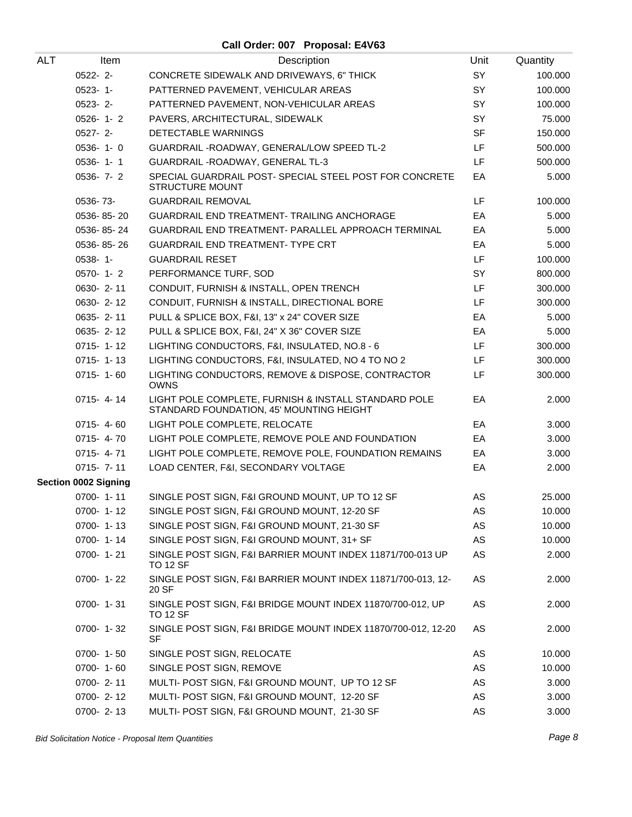| ALT | Item                        | Description                                                                                      | Unit      | Quantity |
|-----|-----------------------------|--------------------------------------------------------------------------------------------------|-----------|----------|
|     | $0522 - 2 -$                | CONCRETE SIDEWALK AND DRIVEWAYS, 6" THICK                                                        | SY        | 100.000  |
|     | $0523 - 1 -$                | PATTERNED PAVEMENT, VEHICULAR AREAS                                                              | SY        | 100.000  |
|     | $0523 - 2$ -                | PATTERNED PAVEMENT, NON-VEHICULAR AREAS                                                          | SY        | 100.000  |
|     | $0526 - 1 - 2$              | PAVERS, ARCHITECTURAL, SIDEWALK                                                                  | SY        | 75.000   |
|     | $0527 - 2 -$                | DETECTABLE WARNINGS                                                                              | <b>SF</b> | 150.000  |
|     | $0536 - 1 - 0$              | GUARDRAIL - ROADWAY, GENERAL/LOW SPEED TL-2                                                      | LF        | 500.000  |
|     | $0536 - 1 - 1$              | GUARDRAIL - ROADWAY, GENERAL TL-3                                                                | LF        | 500.000  |
|     | $0536 - 7 - 2$              | SPECIAL GUARDRAIL POST- SPECIAL STEEL POST FOR CONCRETE<br><b>STRUCTURE MOUNT</b>                | EA        | 5.000    |
|     | 0536-73-                    | <b>GUARDRAIL REMOVAL</b>                                                                         | LF        | 100.000  |
|     | 0536-85-20                  | <b>GUARDRAIL END TREATMENT- TRAILING ANCHORAGE</b>                                               | EA        | 5.000    |
|     | 0536-85-24                  | GUARDRAIL END TREATMENT- PARALLEL APPROACH TERMINAL                                              | EA        | 5.000    |
|     | 0536-85-26                  | GUARDRAIL END TREATMENT- TYPE CRT                                                                | EA        | 5.000    |
|     | 0538-1-                     | <b>GUARDRAIL RESET</b>                                                                           | LF        | 100.000  |
|     | $0570 - 1 - 2$              | PERFORMANCE TURF, SOD                                                                            | SY        | 800.000  |
|     | 0630-2-11                   | CONDUIT, FURNISH & INSTALL, OPEN TRENCH                                                          | LF        | 300.000  |
|     | 0630-2-12                   | CONDUIT, FURNISH & INSTALL, DIRECTIONAL BORE                                                     | LF.       | 300.000  |
|     | 0635-2-11                   | PULL & SPLICE BOX, F&I, 13" x 24" COVER SIZE                                                     | EA        | 5.000    |
|     | 0635-2-12                   | PULL & SPLICE BOX, F&I, 24" X 36" COVER SIZE                                                     | EA        | 5.000    |
|     | $0715 - 1 - 12$             | LIGHTING CONDUCTORS, F&I, INSULATED, NO.8 - 6                                                    | LF        | 300.000  |
|     | $0715 - 1 - 13$             | LIGHTING CONDUCTORS, F&I, INSULATED, NO 4 TO NO 2                                                | LF        | 300.000  |
|     | $0715 - 1 - 60$             | LIGHTING CONDUCTORS, REMOVE & DISPOSE, CONTRACTOR<br><b>OWNS</b>                                 | LF        | 300.000  |
|     | 0715-4-14                   | LIGHT POLE COMPLETE, FURNISH & INSTALL STANDARD POLE<br>STANDARD FOUNDATION, 45' MOUNTING HEIGHT | EA        | 2.000    |
|     | $0715 - 4 - 60$             | LIGHT POLE COMPLETE, RELOCATE                                                                    | EA        | 3.000    |
|     | 0715-4-70                   | LIGHT POLE COMPLETE, REMOVE POLE AND FOUNDATION                                                  | EA        | 3.000    |
|     | $0715 - 4 - 71$             | LIGHT POLE COMPLETE, REMOVE POLE, FOUNDATION REMAINS                                             | EA        | 3.000    |
|     | $0715 - 7 - 11$             | LOAD CENTER, F&I, SECONDARY VOLTAGE                                                              | EA        | 2.000    |
|     | <b>Section 0002 Signing</b> |                                                                                                  |           |          |
|     | 0700-1-11                   | SINGLE POST SIGN, F&I GROUND MOUNT, UP TO 12 SF                                                  | AS        | 25.000   |
|     | $0700 - 1 - 12$             | SINGLE POST SIGN, F&I GROUND MOUNT, 12-20 SF                                                     | AS        | 10.000   |
|     | 0700-1-13                   | SINGLE POST SIGN, F&I GROUND MOUNT, 21-30 SF                                                     | AS        | 10.000   |
|     | 0700-1-14                   | SINGLE POST SIGN, F&I GROUND MOUNT, 31+ SF                                                       | AS        | 10.000   |
|     | 0700-1-21                   | SINGLE POST SIGN, F&I BARRIER MOUNT INDEX 11871/700-013 UP<br><b>TO 12 SF</b>                    | AS        | 2.000    |
|     | 0700-1-22                   | SINGLE POST SIGN, F&I BARRIER MOUNT INDEX 11871/700-013, 12-<br>20 SF                            | AS        | 2.000    |
|     | 0700-1-31                   | SINGLE POST SIGN, F&I BRIDGE MOUNT INDEX 11870/700-012, UP<br><b>TO 12 SF</b>                    | AS        | 2.000    |
|     | 0700-1-32                   | SINGLE POST SIGN, F&I BRIDGE MOUNT INDEX 11870/700-012, 12-20<br><b>SF</b>                       | AS        | 2.000    |
|     | 0700-1-50                   | SINGLE POST SIGN, RELOCATE                                                                       | AS        | 10.000   |
|     | 0700-1-60                   | SINGLE POST SIGN, REMOVE                                                                         | AS        | 10.000   |
|     | 0700-2-11                   | MULTI- POST SIGN, F&I GROUND MOUNT, UP TO 12 SF                                                  | AS        | 3.000    |
|     | 0700-2-12                   | MULTI- POST SIGN, F&I GROUND MOUNT, 12-20 SF                                                     | AS        | 3.000    |
|     | 0700-2-13                   | MULTI- POST SIGN, F&I GROUND MOUNT, 21-30 SF                                                     | AS        | 3.000    |

Bid Solicitation Notice - Proposal Item Quantities **Page 8** and the set of the set of the set of the set of the set of the set of the set of the set of the set of the set of the set of the set of the set of the set of the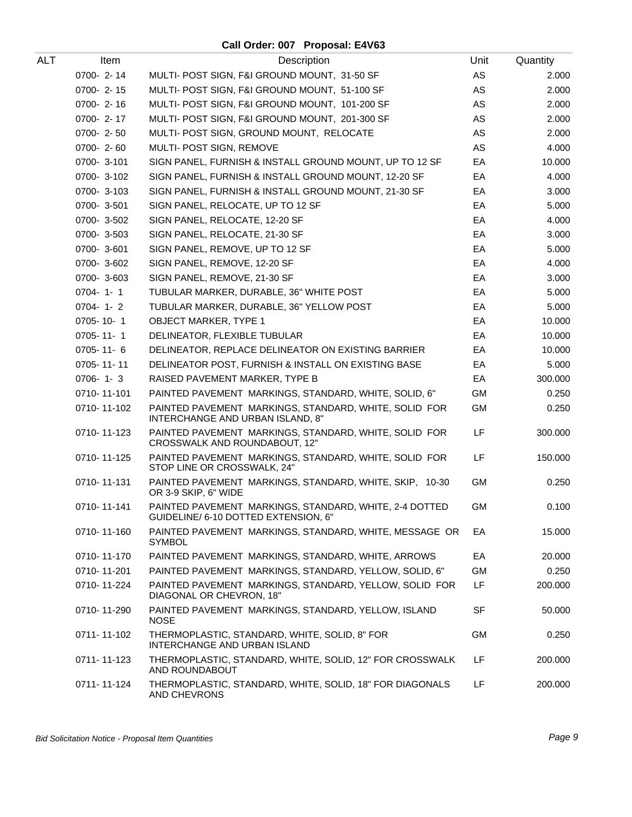| ALT | Item            | Description                                                                                    | Unit      | Quantity |
|-----|-----------------|------------------------------------------------------------------------------------------------|-----------|----------|
|     | 0700-2-14       | MULTI- POST SIGN, F&I GROUND MOUNT, 31-50 SF                                                   | AS        | 2.000    |
|     | 0700-2-15       | MULTI- POST SIGN, F&I GROUND MOUNT, 51-100 SF                                                  | AS        | 2.000    |
|     | $0700 - 2 - 16$ | MULTI- POST SIGN, F&I GROUND MOUNT, 101-200 SF                                                 | AS        | 2.000    |
|     | 0700-2-17       | MULTI- POST SIGN, F&I GROUND MOUNT, 201-300 SF                                                 | AS        | 2.000    |
|     | $0700 - 2 - 50$ | MULTI- POST SIGN, GROUND MOUNT, RELOCATE                                                       | AS        | 2.000    |
|     | 0700-2-60       | MULTI- POST SIGN, REMOVE                                                                       | AS        | 4.000    |
|     | 0700-3-101      | SIGN PANEL, FURNISH & INSTALL GROUND MOUNT, UP TO 12 SF                                        | EA        | 10.000   |
|     | 0700-3-102      | SIGN PANEL, FURNISH & INSTALL GROUND MOUNT, 12-20 SF                                           | EA        | 4.000    |
|     | 0700-3-103      | SIGN PANEL, FURNISH & INSTALL GROUND MOUNT, 21-30 SF                                           | EA        | 3.000    |
|     | 0700-3-501      | SIGN PANEL, RELOCATE, UP TO 12 SF                                                              | EA        | 5.000    |
|     | 0700-3-502      | SIGN PANEL, RELOCATE, 12-20 SF                                                                 | EA        | 4.000    |
|     | 0700-3-503      | SIGN PANEL, RELOCATE, 21-30 SF                                                                 | EA        | 3.000    |
|     | 0700-3-601      | SIGN PANEL, REMOVE, UP TO 12 SF                                                                | EA        | 5.000    |
|     | 0700-3-602      | SIGN PANEL, REMOVE, 12-20 SF                                                                   | EA        | 4.000    |
|     | 0700-3-603      | SIGN PANEL, REMOVE, 21-30 SF                                                                   | EA        | 3.000    |
|     | $0704 - 1 - 1$  | TUBULAR MARKER, DURABLE, 36" WHITE POST                                                        | EA        | 5.000    |
|     | $0704 - 1 - 2$  | TUBULAR MARKER, DURABLE, 36" YELLOW POST                                                       | EA        | 5.000    |
|     | 0705-10-1       | <b>OBJECT MARKER, TYPE 1</b>                                                                   | EA        | 10.000   |
|     | 0705-11-1       | DELINEATOR, FLEXIBLE TUBULAR                                                                   | EA        | 10.000   |
|     | $0705 - 11 - 6$ | DELINEATOR, REPLACE DELINEATOR ON EXISTING BARRIER                                             | EA        | 10.000   |
|     | 0705-11-11      | DELINEATOR POST, FURNISH & INSTALL ON EXISTING BASE                                            | EA        | 5.000    |
|     | $0706 - 1 - 3$  | RAISED PAVEMENT MARKER, TYPE B                                                                 | EA        | 300.000  |
|     | 0710-11-101     | PAINTED PAVEMENT MARKINGS, STANDARD, WHITE, SOLID, 6"                                          | GM        | 0.250    |
|     | 0710-11-102     | PAINTED PAVEMENT MARKINGS, STANDARD, WHITE, SOLID FOR<br>INTERCHANGE AND URBAN ISLAND, 8"      | <b>GM</b> | 0.250    |
|     | 0710-11-123     | PAINTED PAVEMENT MARKINGS, STANDARD, WHITE, SOLID FOR<br>CROSSWALK AND ROUNDABOUT, 12"         | LF        | 300.000  |
|     | 0710-11-125     | PAINTED PAVEMENT MARKINGS, STANDARD, WHITE, SOLID FOR<br>STOP LINE OR CROSSWALK, 24"           | LF        | 150.000  |
|     | 0710-11-131     | PAINTED PAVEMENT MARKINGS, STANDARD, WHITE, SKIP, 10-30<br>OR 3-9 SKIP, 6" WIDE                | <b>GM</b> | 0.250    |
|     | 0710-11-141     | PAINTED PAVEMENT MARKINGS, STANDARD, WHITE, 2-4 DOTTED<br>GUIDELINE/ 6-10 DOTTED EXTENSION, 6" | GM        | 0.100    |
|     | 0710-11-160     | PAINTED PAVEMENT MARKINGS, STANDARD, WHITE, MESSAGE OR<br><b>SYMBOL</b>                        | EA        | 15.000   |
|     | 0710-11-170     | PAINTED PAVEMENT MARKINGS, STANDARD, WHITE, ARROWS                                             | EA        | 20.000   |
|     | 0710-11-201     | PAINTED PAVEMENT MARKINGS, STANDARD, YELLOW, SOLID, 6"                                         | <b>GM</b> | 0.250    |
|     | 0710-11-224     | PAINTED PAVEMENT MARKINGS, STANDARD, YELLOW, SOLID FOR<br>DIAGONAL OR CHEVRON, 18"             | LF        | 200.000  |
|     | 0710-11-290     | PAINTED PAVEMENT MARKINGS, STANDARD, YELLOW, ISLAND<br><b>NOSE</b>                             | SF        | 50.000   |
|     | 0711-11-102     | THERMOPLASTIC, STANDARD, WHITE, SOLID, 8" FOR<br>INTERCHANGE AND URBAN ISLAND                  | GM        | 0.250    |
|     | 0711-11-123     | THERMOPLASTIC, STANDARD, WHITE, SOLID, 12" FOR CROSSWALK<br>AND ROUNDABOUT                     | LF        | 200.000  |
|     | 0711-11-124     | THERMOPLASTIC, STANDARD, WHITE, SOLID, 18" FOR DIAGONALS<br>AND CHEVRONS                       | LF        | 200.000  |